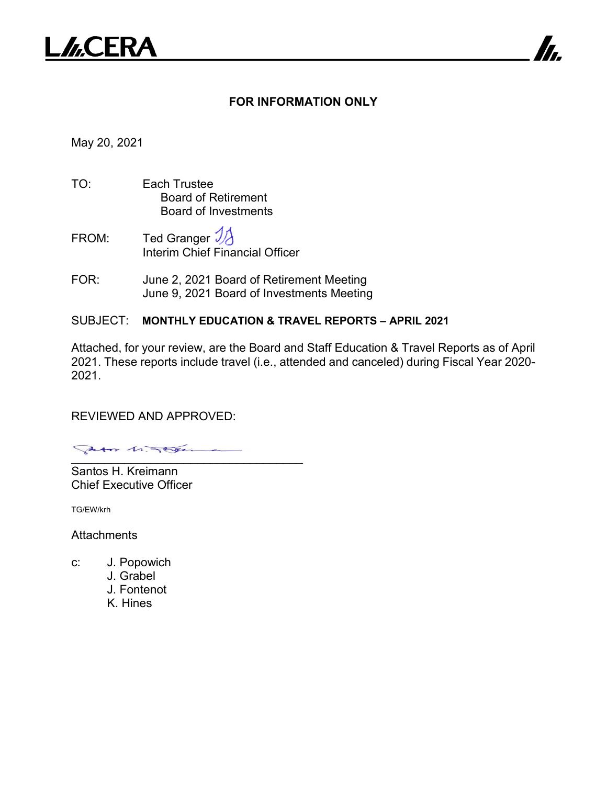

### **FOR INFORMATION ONLY**

7

May 20, 2021

- TO: Each Trustee Board of Retirement Board of Investments
- FROM: Ted Granger  $\mathcal{Y}_{\mathcal{A}}$ Interim Chief Financial Officer
- FOR: June 2, 2021 Board of Retirement Meeting June 9, 2021 Board of Investments Meeting

### SUBJECT: **MONTHLY EDUCATION & TRAVEL REPORTS – APRIL 2021**

Attached, for your review, are the Board and Staff Education & Travel Reports as of April 2021. These reports include travel (i.e., attended and canceled) during Fiscal Year 2020- 2021.

REVIEWED AND APPROVED:

\_\_\_\_\_\_\_\_\_\_\_\_\_\_\_\_\_\_\_\_\_\_\_\_\_\_\_\_\_\_\_\_\_\_\_

Santos H. Kreimann Chief Executive Officer

TG/EW/krh

**Attachments** 

- c: J. Popowich
	- J. Grabel
	- J. Fontenot
	- K. Hines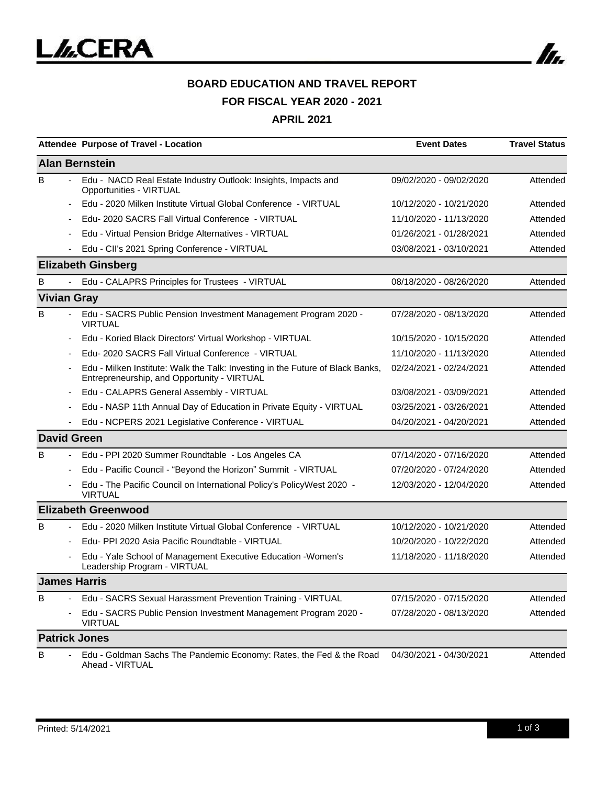

### **BOARD EDUCATION AND TRAVEL REPORT FOR FISCAL YEAR 2020 - 2021**

**APRIL 2021**

|                    | Attendee Purpose of Travel - Location                                                                                         | <b>Event Dates</b>      | <b>Travel Status</b> |
|--------------------|-------------------------------------------------------------------------------------------------------------------------------|-------------------------|----------------------|
|                    | <b>Alan Bernstein</b>                                                                                                         |                         |                      |
| B                  | Edu - NACD Real Estate Industry Outlook: Insights, Impacts and<br>Opportunities - VIRTUAL                                     | 09/02/2020 - 09/02/2020 | Attended             |
|                    | Edu - 2020 Milken Institute Virtual Global Conference - VIRTUAL                                                               | 10/12/2020 - 10/21/2020 | Attended             |
|                    | Edu- 2020 SACRS Fall Virtual Conference - VIRTUAL                                                                             | 11/10/2020 - 11/13/2020 | Attended             |
|                    | Edu - Virtual Pension Bridge Alternatives - VIRTUAL                                                                           | 01/26/2021 - 01/28/2021 | Attended             |
|                    | Edu - CII's 2021 Spring Conference - VIRTUAL                                                                                  | 03/08/2021 - 03/10/2021 | Attended             |
|                    | <b>Elizabeth Ginsberg</b>                                                                                                     |                         |                      |
| B                  | Edu - CALAPRS Principles for Trustees - VIRTUAL                                                                               | 08/18/2020 - 08/26/2020 | Attended             |
| <b>Vivian Gray</b> |                                                                                                                               |                         |                      |
| в                  | Edu - SACRS Public Pension Investment Management Program 2020 -<br><b>VIRTUAL</b>                                             | 07/28/2020 - 08/13/2020 | Attended             |
|                    | Edu - Koried Black Directors' Virtual Workshop - VIRTUAL                                                                      | 10/15/2020 - 10/15/2020 | Attended             |
|                    | Edu- 2020 SACRS Fall Virtual Conference - VIRTUAL                                                                             | 11/10/2020 - 11/13/2020 | Attended             |
|                    | Edu - Milken Institute: Walk the Talk: Investing in the Future of Black Banks,<br>Entrepreneurship, and Opportunity - VIRTUAL | 02/24/2021 - 02/24/2021 | Attended             |
|                    | Edu - CALAPRS General Assembly - VIRTUAL                                                                                      | 03/08/2021 - 03/09/2021 | Attended             |
|                    | Edu - NASP 11th Annual Day of Education in Private Equity - VIRTUAL                                                           | 03/25/2021 - 03/26/2021 | Attended             |
|                    | Edu - NCPERS 2021 Legislative Conference - VIRTUAL                                                                            | 04/20/2021 - 04/20/2021 | Attended             |
|                    | <b>David Green</b>                                                                                                            |                         |                      |
| B                  | Edu - PPI 2020 Summer Roundtable - Los Angeles CA                                                                             | 07/14/2020 - 07/16/2020 | Attended             |
|                    | Edu - Pacific Council - "Beyond the Horizon" Summit - VIRTUAL                                                                 | 07/20/2020 - 07/24/2020 | Attended             |
|                    | Edu - The Pacific Council on International Policy's PolicyWest 2020 -<br><b>VIRTUAL</b>                                       | 12/03/2020 - 12/04/2020 | Attended             |
|                    | <b>Elizabeth Greenwood</b>                                                                                                    |                         |                      |
| B                  | Edu - 2020 Milken Institute Virtual Global Conference - VIRTUAL                                                               | 10/12/2020 - 10/21/2020 | Attended             |
|                    | Edu- PPI 2020 Asia Pacific Roundtable - VIRTUAL                                                                               | 10/20/2020 - 10/22/2020 | Attended             |
|                    | Edu - Yale School of Management Executive Education - Women's<br>Leadership Program - VIRTUAL                                 | 11/18/2020 - 11/18/2020 | Attended             |
|                    | <b>James Harris</b>                                                                                                           |                         |                      |
| B                  | Edu - SACRS Sexual Harassment Prevention Training - VIRTUAL                                                                   | 07/15/2020 - 07/15/2020 | Attended             |
|                    | Edu - SACRS Public Pension Investment Management Program 2020 -<br><b>VIRTUAL</b>                                             | 07/28/2020 - 08/13/2020 | Attended             |
|                    | <b>Patrick Jones</b>                                                                                                          |                         |                      |
| B                  | Edu - Goldman Sachs The Pandemic Economy: Rates, the Fed & the Road<br>Ahead - VIRTUAL                                        | 04/30/2021 - 04/30/2021 | Attended             |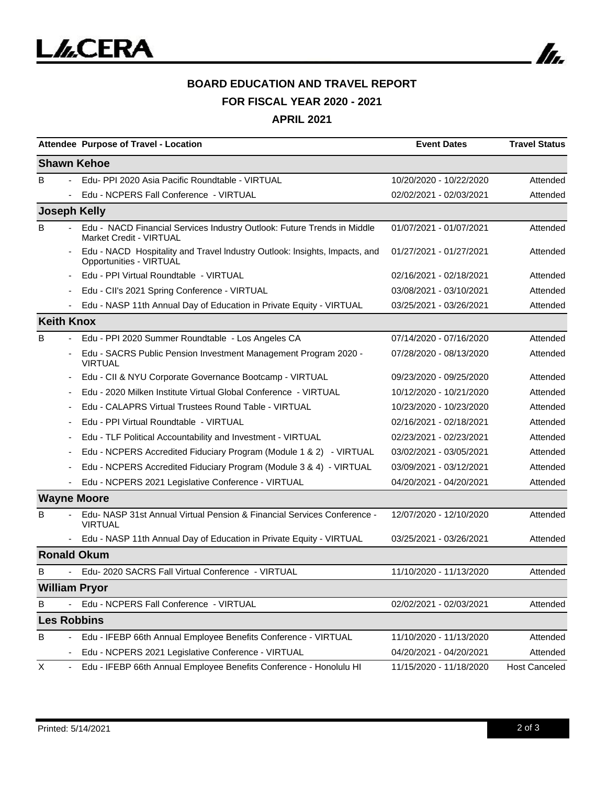

# **BOARD EDUCATION AND TRAVEL REPORT**

**FOR FISCAL YEAR 2020 - 2021**

**APRIL 2021**

|                     |                          | Attendee Purpose of Travel - Location                                                                     | <b>Event Dates</b>      | <b>Travel Status</b> |
|---------------------|--------------------------|-----------------------------------------------------------------------------------------------------------|-------------------------|----------------------|
|                     |                          | <b>Shawn Kehoe</b>                                                                                        |                         |                      |
| в                   |                          | Edu- PPI 2020 Asia Pacific Roundtable - VIRTUAL                                                           | 10/20/2020 - 10/22/2020 | Attended             |
|                     |                          | Edu - NCPERS Fall Conference - VIRTUAL                                                                    | 02/02/2021 - 02/03/2021 | Attended             |
| <b>Joseph Kelly</b> |                          |                                                                                                           |                         |                      |
| B                   |                          | Edu - NACD Financial Services Industry Outlook: Future Trends in Middle<br><b>Market Credit - VIRTUAL</b> | 01/07/2021 - 01/07/2021 | Attended             |
|                     | $\overline{\phantom{a}}$ | Edu - NACD Hospitality and Travel Industry Outlook: Insights, Impacts, and<br>Opportunities - VIRTUAL     | 01/27/2021 - 01/27/2021 | Attended             |
|                     |                          | Edu - PPI Virtual Roundtable - VIRTUAL                                                                    | 02/16/2021 - 02/18/2021 | Attended             |
|                     |                          | Edu - CII's 2021 Spring Conference - VIRTUAL                                                              | 03/08/2021 - 03/10/2021 | Attended             |
|                     |                          | Edu - NASP 11th Annual Day of Education in Private Equity - VIRTUAL                                       | 03/25/2021 - 03/26/2021 | Attended             |
| <b>Keith Knox</b>   |                          |                                                                                                           |                         |                      |
| B                   |                          | Edu - PPI 2020 Summer Roundtable - Los Angeles CA                                                         | 07/14/2020 - 07/16/2020 | Attended             |
|                     | $\overline{\phantom{a}}$ | Edu - SACRS Public Pension Investment Management Program 2020 -<br><b>VIRTUAL</b>                         | 07/28/2020 - 08/13/2020 | Attended             |
|                     |                          | Edu - CII & NYU Corporate Governance Bootcamp - VIRTUAL                                                   | 09/23/2020 - 09/25/2020 | Attended             |
|                     |                          | Edu - 2020 Milken Institute Virtual Global Conference - VIRTUAL                                           | 10/12/2020 - 10/21/2020 | Attended             |
|                     |                          | Edu - CALAPRS Virtual Trustees Round Table - VIRTUAL                                                      | 10/23/2020 - 10/23/2020 | Attended             |
|                     |                          | Edu - PPI Virtual Roundtable - VIRTUAL                                                                    | 02/16/2021 - 02/18/2021 | Attended             |
|                     |                          | Edu - TLF Political Accountability and Investment - VIRTUAL                                               | 02/23/2021 - 02/23/2021 | Attended             |
|                     |                          | Edu - NCPERS Accredited Fiduciary Program (Module 1 & 2) - VIRTUAL                                        | 03/02/2021 - 03/05/2021 | Attended             |
|                     |                          | Edu - NCPERS Accredited Fiduciary Program (Module 3 & 4) - VIRTUAL                                        | 03/09/2021 - 03/12/2021 | Attended             |
|                     |                          | Edu - NCPERS 2021 Legislative Conference - VIRTUAL                                                        | 04/20/2021 - 04/20/2021 | Attended             |
|                     |                          | <b>Wayne Moore</b>                                                                                        |                         |                      |
| В                   |                          | Edu-NASP 31st Annual Virtual Pension & Financial Services Conference -<br><b>VIRTUAL</b>                  | 12/07/2020 - 12/10/2020 | Attended             |
|                     |                          | Edu - NASP 11th Annual Day of Education in Private Equity - VIRTUAL                                       | 03/25/2021 - 03/26/2021 | Attended             |
|                     |                          | <b>Ronald Okum</b>                                                                                        |                         |                      |
| в                   |                          | Edu- 2020 SACRS Fall Virtual Conference - VIRTUAL                                                         | 11/10/2020 - 11/13/2020 | Attended             |
|                     |                          | <b>William Pryor</b>                                                                                      |                         |                      |
| В                   |                          | Edu - NCPERS Fall Conference - VIRTUAL                                                                    | 02/02/2021 - 02/03/2021 | Attended             |
| <b>Les Robbins</b>  |                          |                                                                                                           |                         |                      |
| B                   |                          | Edu - IFEBP 66th Annual Employee Benefits Conference - VIRTUAL                                            | 11/10/2020 - 11/13/2020 | Attended             |
|                     |                          | Edu - NCPERS 2021 Legislative Conference - VIRTUAL                                                        | 04/20/2021 - 04/20/2021 | Attended             |
| X                   | $\blacksquare$           | Edu - IFEBP 66th Annual Employee Benefits Conference - Honolulu HI                                        | 11/15/2020 - 11/18/2020 | <b>Host Canceled</b> |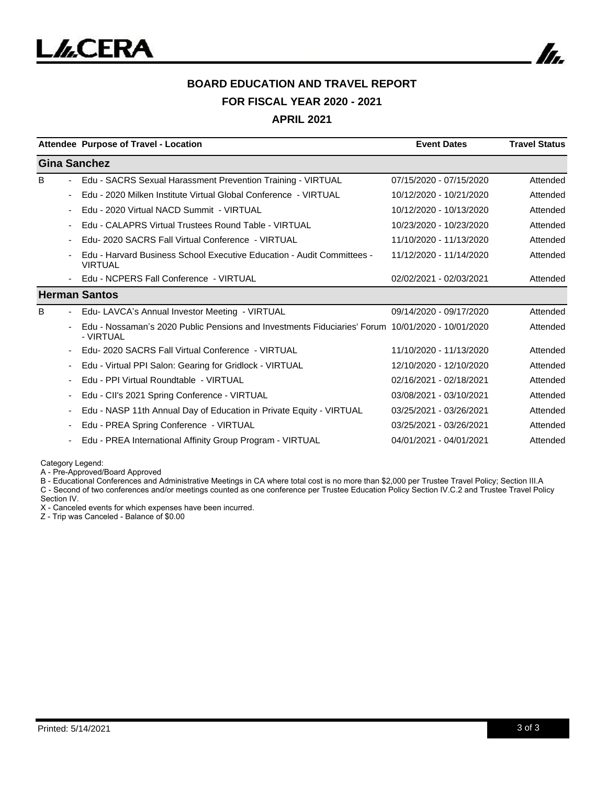

# **BOARD EDUCATION AND TRAVEL REPORT FOR FISCAL YEAR 2020 - 2021**

#### **APRIL 2021**

|                          | Attendee Purpose of Travel - Location                                                                         | <b>Event Dates</b>      | <b>Travel Status</b> |
|--------------------------|---------------------------------------------------------------------------------------------------------------|-------------------------|----------------------|
| <b>Gina Sanchez</b>      |                                                                                                               |                         |                      |
| B.<br>$\sim$             | Edu - SACRS Sexual Harassment Prevention Training - VIRTUAL                                                   | 07/15/2020 - 07/15/2020 | Attended             |
| $\overline{\phantom{a}}$ | Edu - 2020 Milken Institute Virtual Global Conference - VIRTUAL                                               | 10/12/2020 - 10/21/2020 | Attended             |
| $\overline{\phantom{a}}$ | Edu - 2020 Virtual NACD Summit - VIRTUAL                                                                      | 10/12/2020 - 10/13/2020 | Attended             |
| $\overline{\phantom{a}}$ | Edu - CALAPRS Virtual Trustees Round Table - VIRTUAL                                                          | 10/23/2020 - 10/23/2020 | Attended             |
| $\overline{\phantom{a}}$ | Edu- 2020 SACRS Fall Virtual Conference - VIRTUAL                                                             | 11/10/2020 - 11/13/2020 | Attended             |
|                          | Edu - Harvard Business School Executive Education - Audit Committees -<br><b>VIRTUAL</b>                      | 11/12/2020 - 11/14/2020 | Attended             |
|                          | Edu - NCPERS Fall Conference - VIRTUAL                                                                        | 02/02/2021 - 02/03/2021 | Attended             |
|                          | <b>Herman Santos</b>                                                                                          |                         |                      |
| B<br>$\blacksquare$      | Edu- LAVCA's Annual Investor Meeting - VIRTUAL                                                                | 09/14/2020 - 09/17/2020 | Attended             |
|                          | Edu - Nossaman's 2020 Public Pensions and Investments Fiduciaries' Forum 10/01/2020 - 10/01/2020<br>- VIRTUAL |                         | Attended             |
| $\overline{\phantom{a}}$ | Edu- 2020 SACRS Fall Virtual Conference - VIRTUAL                                                             | 11/10/2020 - 11/13/2020 | Attended             |
| $\overline{\phantom{a}}$ | Edu - Virtual PPI Salon: Gearing for Gridlock - VIRTUAL                                                       | 12/10/2020 - 12/10/2020 | Attended             |
| $\overline{\phantom{a}}$ | Edu - PPI Virtual Roundtable - VIRTUAL                                                                        | 02/16/2021 - 02/18/2021 | Attended             |
| $\overline{\phantom{a}}$ | Edu - CII's 2021 Spring Conference - VIRTUAL                                                                  | 03/08/2021 - 03/10/2021 | Attended             |
| $\overline{\phantom{a}}$ | Edu - NASP 11th Annual Day of Education in Private Equity - VIRTUAL                                           | 03/25/2021 - 03/26/2021 | Attended             |
| ٠                        | Edu - PREA Spring Conference - VIRTUAL                                                                        | 03/25/2021 - 03/26/2021 | Attended             |
| $\overline{\phantom{a}}$ | Edu - PREA International Affinity Group Program - VIRTUAL                                                     | 04/01/2021 - 04/01/2021 | Attended             |

Category Legend:

A - Pre-Approved/Board Approved

B - Educational Conferences and Administrative Meetings in CA where total cost is no more than \$2,000 per Trustee Travel Policy; Section III.A C - Second of two conferences and/or meetings counted as one conference per Trustee Education Policy Section IV.C.2 and Trustee Travel Policy

Section IV.

X - Canceled events for which expenses have been incurred.

Z - Trip was Canceled - Balance of \$0.00